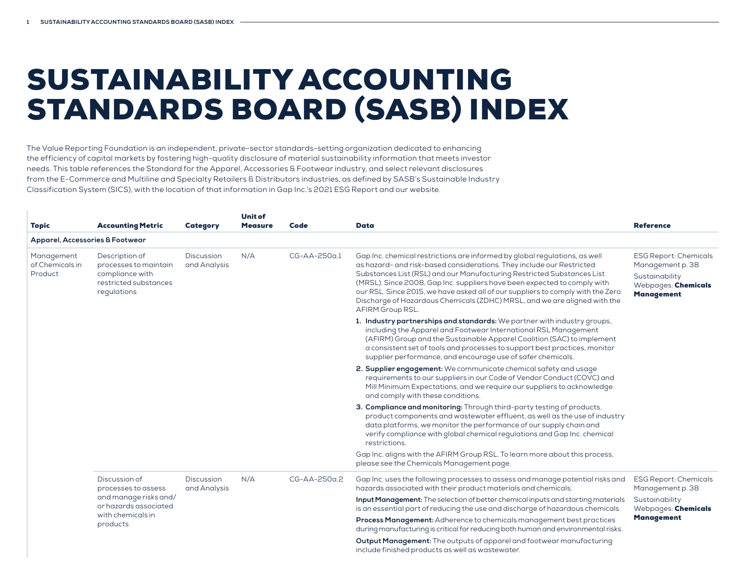## SUSTAINABILITY ACCOUNTING STANDARDS BOARD (SASB) INDEX

The Value Reporting Foundation is an independent, private-sector standards-setting organization dedicated to enhancing the efficiency of capital markets by fostering high-quality disclosure of material sustainability information that meets investor needs. This table references the Standard for the Apparel, Accessories & Footwear industry, and select relevant disclosures from the E-Commerce and Multiline and Specialty Retailers & Distributors industries, as defined by SASB's Sustainable Industry Classification System (SICS), with the location of that information in Gap Inc.'s 2021 ESG Report and our website.

| <b>Topic</b>                             | <b>Accounting Metric</b>                                                                           | <b>Category</b>            | <b>Unit of</b><br><b>Measure</b>                                                                                                                                   | Code                                  | Data                                                                                                                                                                                                                                                                                                                                                                                                                                                                                          | <b>Reference</b>                                                                                               |
|------------------------------------------|----------------------------------------------------------------------------------------------------|----------------------------|--------------------------------------------------------------------------------------------------------------------------------------------------------------------|---------------------------------------|-----------------------------------------------------------------------------------------------------------------------------------------------------------------------------------------------------------------------------------------------------------------------------------------------------------------------------------------------------------------------------------------------------------------------------------------------------------------------------------------------|----------------------------------------------------------------------------------------------------------------|
| Apparel, Accessories & Footwear          |                                                                                                    |                            |                                                                                                                                                                    |                                       |                                                                                                                                                                                                                                                                                                                                                                                                                                                                                               |                                                                                                                |
| Management<br>of Chemicals in<br>Product | Description of<br>processes to maintain<br>compliance with<br>restricted substances<br>regulations | Discussion<br>and Analysis | N/A                                                                                                                                                                | CG-AA-250a.1                          | Gap Inc. chemical restrictions are informed by global regulations, as well<br>as hazard- and risk-based considerations. They include our Restricted<br>Substances List (RSL) and our Manufacturing Restricted Substances List<br>(MRSL). Since 2008, Gap Inc. suppliers have been expected to comply with<br>our RSL. Since 2015, we have asked all of our suppliers to comply with the Zero<br>Discharge of Hazardous Chemicals (ZDHC) MRSL, and we are aligned with the<br>AFIRM Group RSL. | <b>ESG Report: Chemicals</b><br>Management p. 38<br>Sustainability<br>Webpages: Chemicals<br><b>Management</b> |
|                                          |                                                                                                    |                            |                                                                                                                                                                    |                                       | 1. Industry partnerships and standards: We partner with industry groups,<br>including the Apparel and Footwear International RSL Management<br>(AFIRM) Group and the Sustainable Apparel Coalition (SAC) to implement<br>a consistent set of tools and processes to support best practices, monitor<br>supplier performance, and encourage use of safer chemicals.                                                                                                                            |                                                                                                                |
|                                          |                                                                                                    |                            |                                                                                                                                                                    |                                       | 2. Supplier engagement: We communicate chemical safety and usage<br>requirements to our suppliers in our Code of Vendor Conduct (COVC) and<br>Mill Minimum Expectations, and we require our suppliers to acknowledge<br>and comply with these conditions.                                                                                                                                                                                                                                     |                                                                                                                |
|                                          |                                                                                                    |                            |                                                                                                                                                                    |                                       | 3. Compliance and monitoring: Through third-party testing of products,<br>product components and wastewater effluent, as well as the use of industry<br>data platforms, we monitor the performance of our supply chain and<br>verify compliance with global chemical regulations and Gap Inc. chemical<br>restrictions.                                                                                                                                                                       |                                                                                                                |
|                                          |                                                                                                    |                            |                                                                                                                                                                    |                                       | Gap Inc. aligns with the AFIRM Group RSL. To learn more about this process,<br>please see the Chemicals Management page.                                                                                                                                                                                                                                                                                                                                                                      |                                                                                                                |
|                                          | Discussion of<br>processes to assess                                                               | Discussion<br>and Analysis | N/A                                                                                                                                                                | $CG-AA-250a.2$                        | Gap Inc. uses the following processes to assess and manage potential risks and<br>hazards associated with their product materials and chemicals.                                                                                                                                                                                                                                                                                                                                              | <b>ESG Report: Chemicals</b><br>Management p. 38                                                               |
|                                          | and manage risks and/<br>or hazards associated                                                     |                            | Input Management: The selection of better chemical inputs and starting materials<br>is an essential part of reducing the use and discharge of hazardous chemicals. | Sustainability<br>Webpages: Chemicals |                                                                                                                                                                                                                                                                                                                                                                                                                                                                                               |                                                                                                                |
|                                          | with chemicals in<br>products                                                                      |                            | Process Management: Adherence to chemicals management best practices<br>during manufacturing is critical for reducing both human and environmental risks.          | <b>Management</b>                     |                                                                                                                                                                                                                                                                                                                                                                                                                                                                                               |                                                                                                                |
|                                          |                                                                                                    |                            |                                                                                                                                                                    |                                       | Output Management: The outputs of apparel and footwear manufacturing<br>include finished products as well as wastewater.                                                                                                                                                                                                                                                                                                                                                                      |                                                                                                                |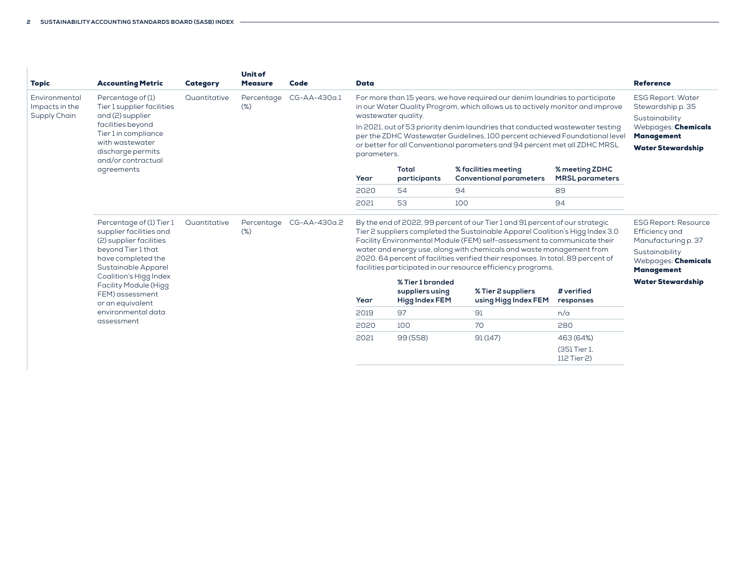| <b>Topic</b>                                    | <b>Accounting Metric</b>                                                                                                                                                                                                                                                               | <b>Category</b> | <b>Unit of</b><br><b>Measure</b> | Code         | <b>Data</b>                                                                                                                                                                                                                                                                                                                                                                                                                                      |                                                                                                                                         |                                                                                                                                                                                                                                                                                                                                                                                                                                                                       |                                          | <b>Reference</b>                                                                                                                   |
|-------------------------------------------------|----------------------------------------------------------------------------------------------------------------------------------------------------------------------------------------------------------------------------------------------------------------------------------------|-----------------|----------------------------------|--------------|--------------------------------------------------------------------------------------------------------------------------------------------------------------------------------------------------------------------------------------------------------------------------------------------------------------------------------------------------------------------------------------------------------------------------------------------------|-----------------------------------------------------------------------------------------------------------------------------------------|-----------------------------------------------------------------------------------------------------------------------------------------------------------------------------------------------------------------------------------------------------------------------------------------------------------------------------------------------------------------------------------------------------------------------------------------------------------------------|------------------------------------------|------------------------------------------------------------------------------------------------------------------------------------|
| Environmental<br>Impacts in the<br>Supply Chain | Percentage of (1)<br>Tier 1 supplier facilities<br>and (2) supplier<br>facilities beyond<br>Tier 1 in compliance<br>with wastewater<br>discharge permits<br>and/or contractual                                                                                                         | Quantitative    | Percentage<br>$(\%)$             | CG-AA-430a.1 | For more than 15 years, we have required our denim laundries to participate<br>in our Water Quality Program, which allows us to actively monitor and improve<br>wastewater quality.<br>In 2021, out of 53 priority denim laundries that conducted wastewater testing<br>per the ZDHC Wastewater Guidelines, 100 percent achieved Foundational level<br>or better for all Conventional parameters and 94 percent met all ZDHC MRSL<br>parameters. | <b>ESG Report: Water</b><br>Stewardship p. 35<br>Sustainability<br>Webpages: Chemicals<br><b>Management</b><br><b>Water Stewardship</b> |                                                                                                                                                                                                                                                                                                                                                                                                                                                                       |                                          |                                                                                                                                    |
|                                                 | agreements                                                                                                                                                                                                                                                                             |                 |                                  |              | Year                                                                                                                                                                                                                                                                                                                                                                                                                                             | Total<br>participants                                                                                                                   | % facilities meeting<br><b>Conventional parameters</b>                                                                                                                                                                                                                                                                                                                                                                                                                | % meeting ZDHC<br><b>MRSL</b> parameters |                                                                                                                                    |
|                                                 |                                                                                                                                                                                                                                                                                        |                 |                                  |              | 2020                                                                                                                                                                                                                                                                                                                                                                                                                                             | 54                                                                                                                                      | 94                                                                                                                                                                                                                                                                                                                                                                                                                                                                    | 89                                       |                                                                                                                                    |
|                                                 |                                                                                                                                                                                                                                                                                        |                 |                                  |              | 2021                                                                                                                                                                                                                                                                                                                                                                                                                                             | 53                                                                                                                                      | 100                                                                                                                                                                                                                                                                                                                                                                                                                                                                   | 94                                       |                                                                                                                                    |
|                                                 | Percentage of (1) Tier 1<br>supplier facilities and<br>(2) supplier facilities<br>beyond Tier 1 that<br>have completed the<br>Sustainable Apparel<br>Coalition's Higg Index<br><b>Facility Module (Higg</b><br>FEM) assessment<br>or an equivalent<br>environmental data<br>assessment | Quantitative    | Percentage<br>$(\%)$             | CG-AA-430a.2 |                                                                                                                                                                                                                                                                                                                                                                                                                                                  |                                                                                                                                         | By the end of 2022, 99 percent of our Tier 1 and 91 percent of our strategic<br>Tier 2 suppliers completed the Sustainable Apparel Coalition's Higg Index 3.0<br>Facility Environmental Module (FEM) self-assessment to communicate their<br>water and energy use, along with chemicals and waste management from<br>2020. 64 percent of facilities verified their responses. In total, 89 percent of<br>facilities participated in our resource efficiency programs. |                                          | <b>ESG Report: Resource</b><br>Efficiency and<br>Manufacturing p. 37<br>Sustainability<br>Webpages: Chemicals<br><b>Management</b> |
|                                                 |                                                                                                                                                                                                                                                                                        |                 |                                  |              | Year                                                                                                                                                                                                                                                                                                                                                                                                                                             | % Tier 1 branded<br>suppliers using<br><b>Higg Index FEM</b>                                                                            | % Tier 2 suppliers<br>using Higg Index FEM                                                                                                                                                                                                                                                                                                                                                                                                                            | # verified<br>responses                  | <b>Water Stewardship</b>                                                                                                           |
|                                                 |                                                                                                                                                                                                                                                                                        |                 |                                  |              | 2019                                                                                                                                                                                                                                                                                                                                                                                                                                             | 97                                                                                                                                      | 91                                                                                                                                                                                                                                                                                                                                                                                                                                                                    | n/a                                      |                                                                                                                                    |
|                                                 |                                                                                                                                                                                                                                                                                        |                 |                                  |              | 2020                                                                                                                                                                                                                                                                                                                                                                                                                                             | 100                                                                                                                                     | 70                                                                                                                                                                                                                                                                                                                                                                                                                                                                    | 280                                      |                                                                                                                                    |
|                                                 |                                                                                                                                                                                                                                                                                        |                 |                                  |              | 2021                                                                                                                                                                                                                                                                                                                                                                                                                                             | 99(558)                                                                                                                                 | 91(147)                                                                                                                                                                                                                                                                                                                                                                                                                                                               | 463 (64%)                                |                                                                                                                                    |
|                                                 |                                                                                                                                                                                                                                                                                        |                 |                                  |              |                                                                                                                                                                                                                                                                                                                                                                                                                                                  |                                                                                                                                         |                                                                                                                                                                                                                                                                                                                                                                                                                                                                       | (351 Tier 1)<br>112 Tier 2)              |                                                                                                                                    |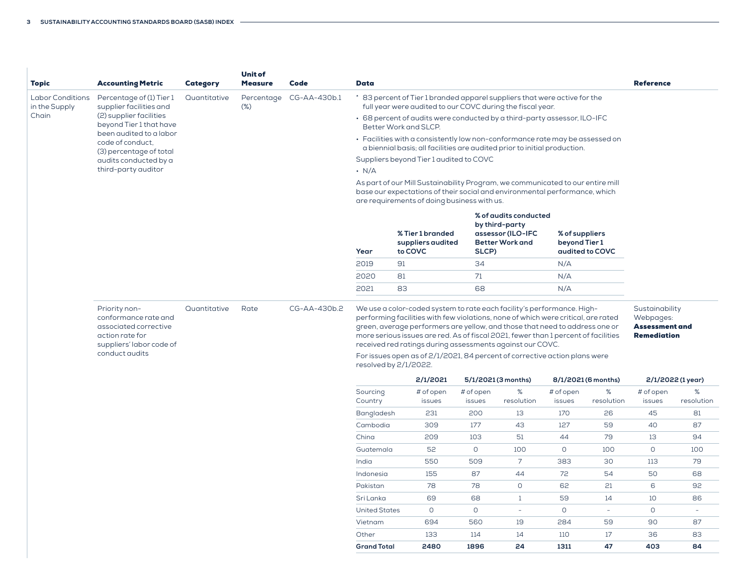| <b>Topic</b>                             | <b>Accounting Metric</b>                                                                                                        | <b>Category</b> | <b>Unit of</b><br><b>Measure</b> | Code                    | <b>Data</b>                                                                                                                                               |                                                                                                                                                                                                                                                                                                                                                                                                                                                                                                      |                     |                                                                                        |                                 |                     | <b>Reference</b>                                                           |                    |
|------------------------------------------|---------------------------------------------------------------------------------------------------------------------------------|-----------------|----------------------------------|-------------------------|-----------------------------------------------------------------------------------------------------------------------------------------------------------|------------------------------------------------------------------------------------------------------------------------------------------------------------------------------------------------------------------------------------------------------------------------------------------------------------------------------------------------------------------------------------------------------------------------------------------------------------------------------------------------------|---------------------|----------------------------------------------------------------------------------------|---------------------------------|---------------------|----------------------------------------------------------------------------|--------------------|
| <b>Labor Conditions</b><br>in the Supply | Percentage of (1) Tier 1<br>supplier facilities and                                                                             | Quantitative    | $(\%)$                           | Percentage CG-AA-430b.1 |                                                                                                                                                           | * 83 percent of Tier 1 branded apparel suppliers that were active for the<br>full year were audited to our COVC during the fiscal year.                                                                                                                                                                                                                                                                                                                                                              |                     |                                                                                        |                                 |                     |                                                                            |                    |
| Chain                                    | (2) supplier facilities<br>beyond Tier 1 that have                                                                              |                 |                                  |                         | • 68 percent of audits were conducted by a third-party assessor, ILO-IFC<br>Better Work and SLCP.                                                         |                                                                                                                                                                                                                                                                                                                                                                                                                                                                                                      |                     |                                                                                        |                                 |                     |                                                                            |                    |
|                                          | been audited to a labor<br>code of conduct.<br>(3) percentage of total                                                          |                 |                                  |                         | • Facilities with a consistently low non-conformance rate may be assessed on<br>a biennial basis; all facilities are audited prior to initial production. |                                                                                                                                                                                                                                                                                                                                                                                                                                                                                                      |                     |                                                                                        |                                 |                     |                                                                            |                    |
|                                          | audits conducted by a                                                                                                           |                 |                                  |                         |                                                                                                                                                           | Suppliers beyond Tier 1 audited to COVC                                                                                                                                                                                                                                                                                                                                                                                                                                                              |                     |                                                                                        |                                 |                     |                                                                            |                    |
|                                          | third-party auditor                                                                                                             |                 |                                  |                         | $\cdot$ N/A                                                                                                                                               |                                                                                                                                                                                                                                                                                                                                                                                                                                                                                                      |                     |                                                                                        |                                 |                     |                                                                            |                    |
|                                          |                                                                                                                                 |                 |                                  |                         |                                                                                                                                                           | As part of our Mill Sustainability Program, we communicated to our entire mill<br>base our expectations of their social and environmental performance, which<br>are requirements of doing business with us.                                                                                                                                                                                                                                                                                          |                     |                                                                                        |                                 |                     |                                                                            |                    |
|                                          |                                                                                                                                 |                 |                                  |                         |                                                                                                                                                           | % Tier 1 branded<br>suppliers audited<br>to COVC                                                                                                                                                                                                                                                                                                                                                                                                                                                     |                     | % of audits conducted<br>by third-party<br>assessor (ILO-IFC<br><b>Better Work and</b> | % of suppliers<br>beyond Tier 1 |                     |                                                                            |                    |
|                                          |                                                                                                                                 |                 |                                  |                         | Year<br>2019                                                                                                                                              | 91                                                                                                                                                                                                                                                                                                                                                                                                                                                                                                   | SLCP)<br>34         |                                                                                        | N/A                             | audited to COVC     |                                                                            |                    |
|                                          |                                                                                                                                 |                 |                                  |                         | 2020                                                                                                                                                      | 81                                                                                                                                                                                                                                                                                                                                                                                                                                                                                                   | 71                  |                                                                                        | N/A                             |                     |                                                                            |                    |
|                                          |                                                                                                                                 |                 |                                  |                         |                                                                                                                                                           |                                                                                                                                                                                                                                                                                                                                                                                                                                                                                                      |                     |                                                                                        |                                 |                     |                                                                            |                    |
|                                          |                                                                                                                                 |                 |                                  |                         | 2021                                                                                                                                                      | 83                                                                                                                                                                                                                                                                                                                                                                                                                                                                                                   | 68                  |                                                                                        | N/A                             |                     |                                                                            |                    |
|                                          | Priority non-<br>conformance rate and<br>associated corrective<br>action rate for<br>suppliers' labor code of<br>conduct audits | Quantitative    | Rate                             | CG-AA-430b.2            |                                                                                                                                                           | We use a color-coded system to rate each facility's performance. High-<br>performing facilities with few violations, none of which were critical, are rated<br>green, average performers are yellow, and those that need to address one or<br>more serious issues are red. As of fiscal 2021, fewer than 1 percent of facilities<br>received red ratings during assessments against our COVC.<br>For issues open as of 2/1/2021, 84 percent of corrective action plans were<br>resolved by 2/1/2022. |                     |                                                                                        |                                 |                     | Sustainability<br>Webpages:<br><b>Assessment and</b><br><b>Remediation</b> |                    |
|                                          |                                                                                                                                 |                 |                                  |                         |                                                                                                                                                           | 2/1/2021                                                                                                                                                                                                                                                                                                                                                                                                                                                                                             |                     | 5/1/2021 (3 months)                                                                    |                                 | 8/1/2021 (6 months) |                                                                            | 2/1/2022 (1 year)  |
|                                          |                                                                                                                                 |                 |                                  |                         | Sourcing<br>Country                                                                                                                                       | # of open<br>issues                                                                                                                                                                                                                                                                                                                                                                                                                                                                                  | # of open<br>issues | %<br>resolution                                                                        | # of open<br>issues             | $\%$<br>resolution  | # of open<br>issues                                                        | $\%$<br>resolution |
|                                          |                                                                                                                                 |                 |                                  |                         | Bangladesh                                                                                                                                                | 231                                                                                                                                                                                                                                                                                                                                                                                                                                                                                                  | 200                 | 13                                                                                     | 170                             | 26                  | 45                                                                         | 81                 |
|                                          |                                                                                                                                 |                 |                                  |                         | Cambodia                                                                                                                                                  | 309                                                                                                                                                                                                                                                                                                                                                                                                                                                                                                  | 177                 | 43                                                                                     | 127                             | 59                  | 40                                                                         | 87                 |
|                                          |                                                                                                                                 |                 |                                  |                         | China                                                                                                                                                     | 209                                                                                                                                                                                                                                                                                                                                                                                                                                                                                                  | 103                 | 51                                                                                     | 44                              | 79                  | 13                                                                         | 94                 |
|                                          |                                                                                                                                 |                 |                                  |                         | Guatemala                                                                                                                                                 | 52                                                                                                                                                                                                                                                                                                                                                                                                                                                                                                   | $\circ$             | 100                                                                                    | $\circ$                         | 100                 | $\circ$                                                                    | 100                |
|                                          |                                                                                                                                 |                 |                                  |                         | India                                                                                                                                                     | 550                                                                                                                                                                                                                                                                                                                                                                                                                                                                                                  | 509                 | $\overline{7}$                                                                         | 383                             | 30                  | 113                                                                        | 79                 |
|                                          |                                                                                                                                 |                 |                                  |                         | Indonesia                                                                                                                                                 | 155                                                                                                                                                                                                                                                                                                                                                                                                                                                                                                  | 87                  | 44                                                                                     | 72                              | 54                  | 50                                                                         | 68                 |
|                                          |                                                                                                                                 |                 |                                  |                         | Pakistan                                                                                                                                                  | 78                                                                                                                                                                                                                                                                                                                                                                                                                                                                                                   | 78                  | $\circ$                                                                                | 62                              | 21                  | 6                                                                          | 92                 |
|                                          |                                                                                                                                 |                 |                                  |                         | Sri Lanka                                                                                                                                                 | 69                                                                                                                                                                                                                                                                                                                                                                                                                                                                                                   | 68                  | $\mathbf{1}$                                                                           | 59                              | 14                  | 10                                                                         | 86                 |
|                                          |                                                                                                                                 |                 |                                  |                         | <b>United States</b>                                                                                                                                      | $\circ$                                                                                                                                                                                                                                                                                                                                                                                                                                                                                              | $\circ$             | $\sim$                                                                                 | $\circ$                         | $\omega$            | $\circ$                                                                    | $\omega$           |
|                                          |                                                                                                                                 |                 |                                  |                         | Vietnam                                                                                                                                                   | 694                                                                                                                                                                                                                                                                                                                                                                                                                                                                                                  | 560                 | 19                                                                                     | 284                             | 59                  | 90                                                                         | 87                 |
|                                          |                                                                                                                                 |                 |                                  |                         | Other                                                                                                                                                     | 133                                                                                                                                                                                                                                                                                                                                                                                                                                                                                                  | 114                 | 14                                                                                     | 110                             | 17                  | 36                                                                         | 83                 |
|                                          |                                                                                                                                 |                 |                                  |                         | <b>Grand Total</b>                                                                                                                                        | 2480                                                                                                                                                                                                                                                                                                                                                                                                                                                                                                 | 1896                | 24                                                                                     | 1311                            | 47                  | 403                                                                        | 84                 |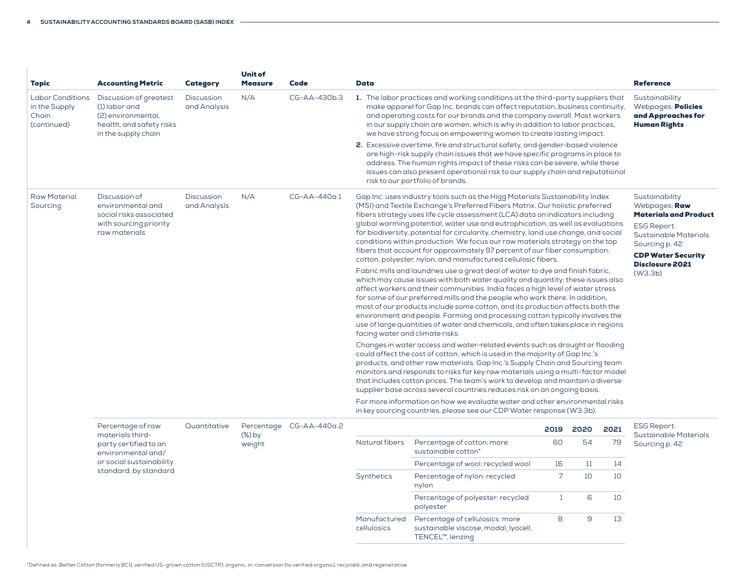÷.

| <b>Topic</b>                                                     | <b>Accounting Metric</b>                                                                                                                                                                                                                                                                                                                                                                                                                                                                                                                                                           | <b>Category</b>            | <b>Unit of</b><br><b>Measure</b>                                                                                                                                                                                                                                                                                                                                | Code                    | Data           |                                                                                                                                                                                                                                                                                                                                                                                                                                                                                                                                                                                                                                                                                                                                                                                                                                                                                                                                                                                                                                                                                                                                                                                                                                                                                                                                                                                                                                                                                                                                    |      |                                                                                   |      | <b>Reference</b>                            |  |
|------------------------------------------------------------------|------------------------------------------------------------------------------------------------------------------------------------------------------------------------------------------------------------------------------------------------------------------------------------------------------------------------------------------------------------------------------------------------------------------------------------------------------------------------------------------------------------------------------------------------------------------------------------|----------------------------|-----------------------------------------------------------------------------------------------------------------------------------------------------------------------------------------------------------------------------------------------------------------------------------------------------------------------------------------------------------------|-------------------------|----------------|------------------------------------------------------------------------------------------------------------------------------------------------------------------------------------------------------------------------------------------------------------------------------------------------------------------------------------------------------------------------------------------------------------------------------------------------------------------------------------------------------------------------------------------------------------------------------------------------------------------------------------------------------------------------------------------------------------------------------------------------------------------------------------------------------------------------------------------------------------------------------------------------------------------------------------------------------------------------------------------------------------------------------------------------------------------------------------------------------------------------------------------------------------------------------------------------------------------------------------------------------------------------------------------------------------------------------------------------------------------------------------------------------------------------------------------------------------------------------------------------------------------------------------|------|-----------------------------------------------------------------------------------|------|---------------------------------------------|--|
| <b>Labor Conditions</b><br>in the Supply<br>Chain<br>(continued) | Discussion of greatest<br>N/A<br>CG-AA-430b.3<br>1. The labor practices and working conditions at the third-party suppliers that<br><b>Discussion</b><br>$(1)$ labor and<br>and Analysis<br>make apparel for Gap Inc. brands can affect reputation, business continuity,<br>(2) environmental,<br>and operating costs for our brands and the company overall. Most workers<br>health, and safety risks<br>in our supply chain are women, which is why in addition to labor practices,<br>we have strong focus on empowering women to create lasting impact.<br>in the supply chain |                            |                                                                                                                                                                                                                                                                                                                                                                 |                         |                |                                                                                                                                                                                                                                                                                                                                                                                                                                                                                                                                                                                                                                                                                                                                                                                                                                                                                                                                                                                                                                                                                                                                                                                                                                                                                                                                                                                                                                                                                                                                    |      | Sustainability<br>Webpages: Policies<br>and Approaches for<br><b>Human Rights</b> |      |                                             |  |
|                                                                  |                                                                                                                                                                                                                                                                                                                                                                                                                                                                                                                                                                                    |                            | 2. Excessive overtime, fire and structural safety, and gender-based violence<br>are high-risk supply chain issues that we have specific programs in place to<br>address. The human rights impact of these risks can be severe, while these<br>issues can also present operational risk to our supply chain and reputational<br>risk to our portfolio of brands. |                         |                |                                                                                                                                                                                                                                                                                                                                                                                                                                                                                                                                                                                                                                                                                                                                                                                                                                                                                                                                                                                                                                                                                                                                                                                                                                                                                                                                                                                                                                                                                                                                    |      |                                                                                   |      |                                             |  |
| <b>Raw Material</b><br>Sourcing                                  | Discussion of<br>environmental and<br>social risks associated<br>with sourcing priority<br>raw materials                                                                                                                                                                                                                                                                                                                                                                                                                                                                           | Discussion<br>and Analysis | N/A                                                                                                                                                                                                                                                                                                                                                             | CG-AA-440a.1            |                | Gap Inc. uses industry tools such as the Higg Materials Sustainability Index<br>(MSI) and Textile Exchange's Preferred Fibers Matrix. Our holistic preferred<br>fibers strategy uses life cycle assessment (LCA) data on indicators including<br>global warming potential, water use and eutrophication, as well as evaluations<br>for biodiversity, potential for circularity, chemistry, land use change, and social<br>conditions within production. We focus our raw materials strategy on the top<br>fibers that account for approximately 97 percent of our fiber consumption:<br>cotton, polyester, nylon, and manufactured cellulosic fibers.<br>Fabric mills and laundries use a great deal of water to dye and finish fabric,<br>which may cause issues with both water quality and quantity; these issues also<br>affect workers and their communities. India faces a high level of water stress<br>for some of our preferred mills and the people who work there. In addition,<br>most of our products include some cotton, and its production affects both the<br>environment and people. Farming and processing cotton typically involves the<br>use of large quantities of water and chemicals, and often takes place in regions<br>facing water and climate risks.<br>Changes in water access and water-related events such as drought or flooding<br>could affect the cost of cotton, which is used in the majority of Gap Inc.'s<br>products, and other raw materials. Gap Inc.'s Supply Chain and Sourcing team |      |                                                                                   |      |                                             |  |
|                                                                  |                                                                                                                                                                                                                                                                                                                                                                                                                                                                                                                                                                                    |                            |                                                                                                                                                                                                                                                                                                                                                                 |                         |                | monitors and responds to risks for key raw materials using a multi-factor model<br>that includes cotton prices. The team's work to develop and maintain a diverse<br>supplier base across several countries reduces risk on an ongoing basis.                                                                                                                                                                                                                                                                                                                                                                                                                                                                                                                                                                                                                                                                                                                                                                                                                                                                                                                                                                                                                                                                                                                                                                                                                                                                                      |      |                                                                                   |      |                                             |  |
|                                                                  |                                                                                                                                                                                                                                                                                                                                                                                                                                                                                                                                                                                    |                            |                                                                                                                                                                                                                                                                                                                                                                 |                         |                | For more information on how we evaluate water and other environmental risks<br>in key sourcing countries, please see our CDP Water response (W3.3b).                                                                                                                                                                                                                                                                                                                                                                                                                                                                                                                                                                                                                                                                                                                                                                                                                                                                                                                                                                                                                                                                                                                                                                                                                                                                                                                                                                               |      |                                                                                   |      |                                             |  |
|                                                                  | Percentage of raw<br>materials third-                                                                                                                                                                                                                                                                                                                                                                                                                                                                                                                                              | Quantitative               | $(\%)$ by                                                                                                                                                                                                                                                                                                                                                       | Percentage CG-AA-440a.2 |                |                                                                                                                                                                                                                                                                                                                                                                                                                                                                                                                                                                                                                                                                                                                                                                                                                                                                                                                                                                                                                                                                                                                                                                                                                                                                                                                                                                                                                                                                                                                                    | 2019 | 2020                                                                              | 2021 | <b>ESG Report:</b><br>Sustainable Materials |  |
|                                                                  | party certified to an<br>environmental and/                                                                                                                                                                                                                                                                                                                                                                                                                                                                                                                                        |                            | weight                                                                                                                                                                                                                                                                                                                                                          |                         | Natural fibers | Percentage of cotton: more<br>sustainable cotton*                                                                                                                                                                                                                                                                                                                                                                                                                                                                                                                                                                                                                                                                                                                                                                                                                                                                                                                                                                                                                                                                                                                                                                                                                                                                                                                                                                                                                                                                                  | 60   | 54                                                                                | 79   | Sourcing p. 42                              |  |
|                                                                  | or social sustainability                                                                                                                                                                                                                                                                                                                                                                                                                                                                                                                                                           |                            |                                                                                                                                                                                                                                                                                                                                                                 |                         |                | Percentage of wool: recycled wool                                                                                                                                                                                                                                                                                                                                                                                                                                                                                                                                                                                                                                                                                                                                                                                                                                                                                                                                                                                                                                                                                                                                                                                                                                                                                                                                                                                                                                                                                                  | 16   | 11                                                                                | 14   |                                             |  |
|                                                                  | standard, by standard                                                                                                                                                                                                                                                                                                                                                                                                                                                                                                                                                              |                            |                                                                                                                                                                                                                                                                                                                                                                 |                         | Synthetics     | Percentage of nylon: recycled<br>nylon                                                                                                                                                                                                                                                                                                                                                                                                                                                                                                                                                                                                                                                                                                                                                                                                                                                                                                                                                                                                                                                                                                                                                                                                                                                                                                                                                                                                                                                                                             | 7    | 10                                                                                | 10   |                                             |  |
|                                                                  |                                                                                                                                                                                                                                                                                                                                                                                                                                                                                                                                                                                    |                            |                                                                                                                                                                                                                                                                                                                                                                 |                         |                | Percentage of polyester: recycled<br>polyester                                                                                                                                                                                                                                                                                                                                                                                                                                                                                                                                                                                                                                                                                                                                                                                                                                                                                                                                                                                                                                                                                                                                                                                                                                                                                                                                                                                                                                                                                     | -1   | 6                                                                                 | 10   |                                             |  |
|                                                                  |                                                                                                                                                                                                                                                                                                                                                                                                                                                                                                                                                                                    |                            |                                                                                                                                                                                                                                                                                                                                                                 |                         | Manufactured   | Percentage of cellulosics: more                                                                                                                                                                                                                                                                                                                                                                                                                                                                                                                                                                                                                                                                                                                                                                                                                                                                                                                                                                                                                                                                                                                                                                                                                                                                                                                                                                                                                                                                                                    | 8    | 9                                                                                 | 13   |                                             |  |

cellulosics

sustainable viscose, modal, lyocell,

TENCEL™, lenzing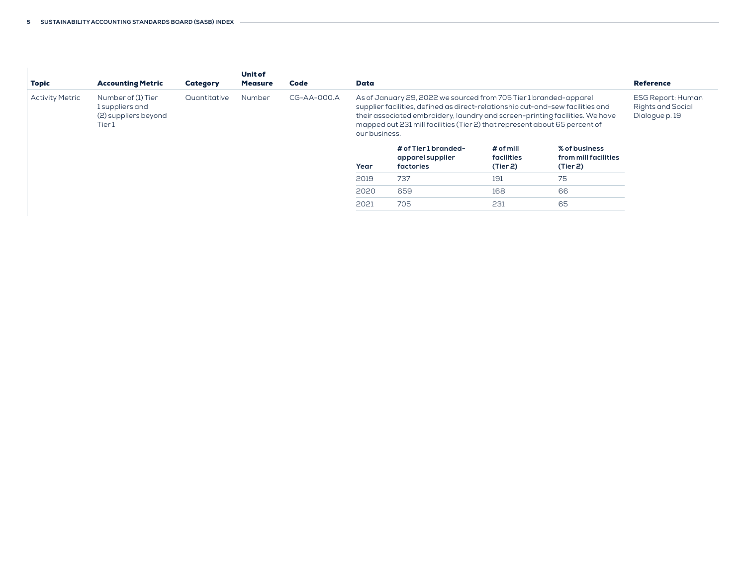| <b>Topic</b>           | <b>Accounting Metric</b>                                                | Category     | <b>Unit of</b><br><b>Measure</b> | Code          | Data          |                                                                                                                                                                                                                                                                                                                   |                                     |                                                   | <b>Reference</b>                                                |
|------------------------|-------------------------------------------------------------------------|--------------|----------------------------------|---------------|---------------|-------------------------------------------------------------------------------------------------------------------------------------------------------------------------------------------------------------------------------------------------------------------------------------------------------------------|-------------------------------------|---------------------------------------------------|-----------------------------------------------------------------|
| <b>Activity Metric</b> | Number of (1) Tier<br>1 suppliers and<br>(2) suppliers beyond<br>Tier 1 | Quantitative | Number                           | $CG-AA-OOO.A$ | our business. | As of January 29, 2022 we sourced from 705 Tier 1 branded-apparel<br>supplier facilities, defined as direct-relationship cut-and-sew facilities and<br>their associated embroidery, laundry and screen-printing facilities. We have<br>mapped out 231 mill facilities (Tier 2) that represent about 65 percent of |                                     |                                                   | <b>ESG Report: Human</b><br>Rights and Social<br>Dialogue p. 19 |
|                        |                                                                         |              |                                  |               | Year          | # of Tier 1 branded-<br>apparel supplier<br>factories                                                                                                                                                                                                                                                             | # of mill<br>facilities<br>(Tier 2) | % of business<br>from mill facilities<br>(Tier 2) |                                                                 |
|                        |                                                                         |              |                                  |               | 2019          | 737                                                                                                                                                                                                                                                                                                               | 191                                 | 75                                                |                                                                 |
|                        |                                                                         |              |                                  |               | 2020          | 659                                                                                                                                                                                                                                                                                                               | 168                                 | 66                                                |                                                                 |
|                        |                                                                         |              |                                  |               | 2021          | 705                                                                                                                                                                                                                                                                                                               | 231                                 | 65                                                |                                                                 |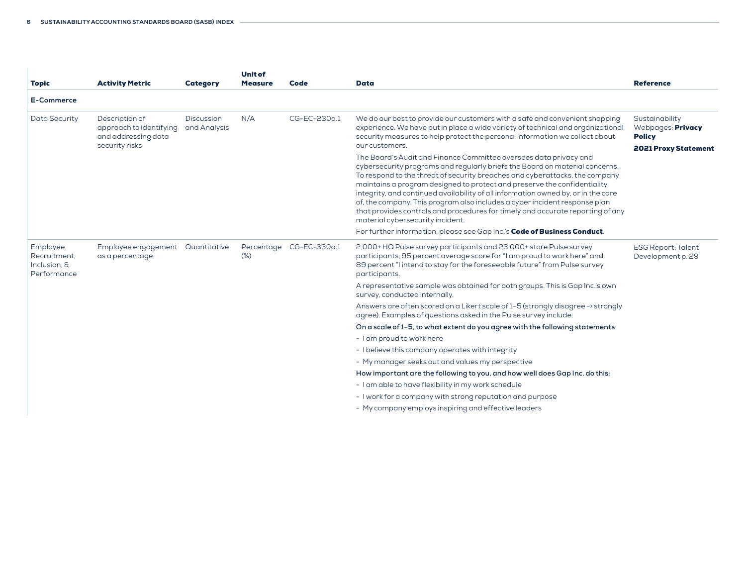| <b>Topic</b>                                            | <b>Activity Metric</b>                                                             | Category                   | <b>Unit of</b><br><b>Measure</b> | Code                    | <b>Data</b>                                                                                                                                                                                                                                                                                                                                                                                                                                                                                                                                                                                                                                                                                                                                                                                                                                                                                                                                          | <b>Reference</b>                                                                    |
|---------------------------------------------------------|------------------------------------------------------------------------------------|----------------------------|----------------------------------|-------------------------|------------------------------------------------------------------------------------------------------------------------------------------------------------------------------------------------------------------------------------------------------------------------------------------------------------------------------------------------------------------------------------------------------------------------------------------------------------------------------------------------------------------------------------------------------------------------------------------------------------------------------------------------------------------------------------------------------------------------------------------------------------------------------------------------------------------------------------------------------------------------------------------------------------------------------------------------------|-------------------------------------------------------------------------------------|
| E-Commerce                                              |                                                                                    |                            |                                  |                         |                                                                                                                                                                                                                                                                                                                                                                                                                                                                                                                                                                                                                                                                                                                                                                                                                                                                                                                                                      |                                                                                     |
| Data Security                                           | Description of<br>approach to identifying<br>and addressing data<br>security risks | Discussion<br>and Analysis | N/A                              | CG-EC-230a.1            | We do our best to provide our customers with a safe and convenient shopping<br>experience. We have put in place a wide variety of technical and organizational<br>security measures to help protect the personal information we collect about<br>our customers.<br>The Board's Audit and Finance Committee oversees data privacy and<br>cybersecurity programs and regularly briefs the Board on material concerns.<br>To respond to the threat of security breaches and cyberattacks, the company<br>maintains a program designed to protect and preserve the confidentiality,<br>integrity, and continued availability of all information owned by, or in the care<br>of, the company. This program also includes a cyber incident response plan<br>that provides controls and procedures for timely and accurate reporting of any<br>material cybersecurity incident.<br>For further information, please see Gap Inc.'s Code of Business Conduct. | Sustainability<br>Webpages: Privacy<br><b>Policy</b><br><b>2021 Proxy Statement</b> |
| Employee<br>Recruitment.<br>Inclusion, &<br>Performance | Employee engagement  Quantitative<br>as a percentage                               |                            | $(\%)$                           | Percentage CG-EC-330a.1 | 2,000+HQ Pulse survey participants and 23,000+ store Pulse survey<br>participants; 95 percent average score for "I am proud to work here" and<br>89 percent "I intend to stay for the foreseeable future" from Pulse survey<br>participants.                                                                                                                                                                                                                                                                                                                                                                                                                                                                                                                                                                                                                                                                                                         | <b>ESG Report: Talent</b><br>Development p. 29                                      |
|                                                         |                                                                                    |                            |                                  |                         | A representative sample was obtained for both groups. This is Gap Inc.'s own<br>survey, conducted internally.                                                                                                                                                                                                                                                                                                                                                                                                                                                                                                                                                                                                                                                                                                                                                                                                                                        |                                                                                     |
|                                                         |                                                                                    |                            |                                  |                         | Answers are often scored on a Likert scale of 1-5 (strongly disagree -> strongly<br>agree). Examples of questions asked in the Pulse survey include:                                                                                                                                                                                                                                                                                                                                                                                                                                                                                                                                                                                                                                                                                                                                                                                                 |                                                                                     |
|                                                         |                                                                                    |                            |                                  |                         | On a scale of 1-5, to what extent do you agree with the following statements:                                                                                                                                                                                                                                                                                                                                                                                                                                                                                                                                                                                                                                                                                                                                                                                                                                                                        |                                                                                     |
|                                                         |                                                                                    |                            |                                  |                         | - I am proud to work here                                                                                                                                                                                                                                                                                                                                                                                                                                                                                                                                                                                                                                                                                                                                                                                                                                                                                                                            |                                                                                     |
|                                                         |                                                                                    |                            |                                  |                         | - I believe this company operates with integrity                                                                                                                                                                                                                                                                                                                                                                                                                                                                                                                                                                                                                                                                                                                                                                                                                                                                                                     |                                                                                     |
|                                                         |                                                                                    |                            |                                  |                         | - My manager seeks out and values my perspective                                                                                                                                                                                                                                                                                                                                                                                                                                                                                                                                                                                                                                                                                                                                                                                                                                                                                                     |                                                                                     |
|                                                         |                                                                                    |                            |                                  |                         | How important are the following to you, and how well does Gap Inc. do this:                                                                                                                                                                                                                                                                                                                                                                                                                                                                                                                                                                                                                                                                                                                                                                                                                                                                          |                                                                                     |
|                                                         |                                                                                    |                            |                                  |                         | - I am able to have flexibility in my work schedule                                                                                                                                                                                                                                                                                                                                                                                                                                                                                                                                                                                                                                                                                                                                                                                                                                                                                                  |                                                                                     |
|                                                         |                                                                                    |                            |                                  |                         | - I work for a company with strong reputation and purpose                                                                                                                                                                                                                                                                                                                                                                                                                                                                                                                                                                                                                                                                                                                                                                                                                                                                                            |                                                                                     |
|                                                         |                                                                                    |                            |                                  |                         | - My company employs inspiring and effective leaders                                                                                                                                                                                                                                                                                                                                                                                                                                                                                                                                                                                                                                                                                                                                                                                                                                                                                                 |                                                                                     |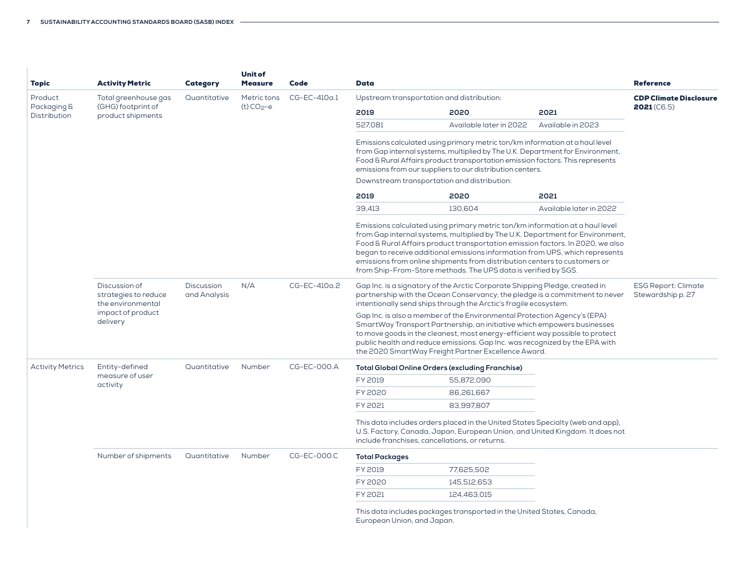| Topic                       | <b>Activity Metric</b>                                     | Category                          | <b>Unit of</b><br><b>Measure</b> | Code           | <b>Data</b>                                               |                                                                                                                                                                                                                                                                                                                                                                                                                                                                                |                         | <b>Reference</b>                                |
|-----------------------------|------------------------------------------------------------|-----------------------------------|----------------------------------|----------------|-----------------------------------------------------------|--------------------------------------------------------------------------------------------------------------------------------------------------------------------------------------------------------------------------------------------------------------------------------------------------------------------------------------------------------------------------------------------------------------------------------------------------------------------------------|-------------------------|-------------------------------------------------|
| Product                     | Total greenhouse gas                                       | Quantitative                      | Metric tons                      | $CG-EC-410a.1$ | Upstream transportation and distribution:                 | <b>CDP Climate Disclosure</b>                                                                                                                                                                                                                                                                                                                                                                                                                                                  |                         |                                                 |
| Packaging &<br>Distribution | (GHG) footprint of<br>product shipments                    |                                   | $(t) CO2-e$                      |                | 2019                                                      | 2020                                                                                                                                                                                                                                                                                                                                                                                                                                                                           | 2021                    | 2021(CB.5)                                      |
|                             |                                                            |                                   |                                  |                | 527,081                                                   | Available later in 2022                                                                                                                                                                                                                                                                                                                                                                                                                                                        | Available in 2023       |                                                 |
|                             |                                                            |                                   |                                  |                | emissions from our suppliers to our distribution centers. | Emissions calculated using primary metric ton/km information at a haul level<br>from Gap internal systems, multiplied by The U.K. Department for Environment,<br>Food & Rural Affairs product transportation emission factors. This represents                                                                                                                                                                                                                                 |                         |                                                 |
|                             |                                                            |                                   |                                  |                |                                                           | Downstream transportation and distribution:                                                                                                                                                                                                                                                                                                                                                                                                                                    |                         |                                                 |
|                             |                                                            |                                   |                                  |                | 2019                                                      | 2020                                                                                                                                                                                                                                                                                                                                                                                                                                                                           | 2021                    |                                                 |
|                             |                                                            |                                   |                                  |                | 39.413                                                    | 130,604                                                                                                                                                                                                                                                                                                                                                                                                                                                                        | Available later in 2022 |                                                 |
|                             |                                                            |                                   |                                  |                |                                                           | Emissions calculated using primary metric ton/km information at a haul level<br>from Gap internal systems, multiplied by The U.K. Department for Environment,<br>Food & Rural Affairs product transportation emission factors. In 2020, we also<br>began to receive additional emissions information from UPS, which represents<br>emissions from online shipments from distribution centers to customers or<br>from Ship-From-Store methods. The UPS data is verified by SGS. |                         |                                                 |
|                             | Discussion of<br>strategies to reduce<br>the environmental | <b>Discussion</b><br>and Analysis | N/A                              | CG-EC-410a.2   |                                                           | Gap Inc. is a signatory of the Arctic Corporate Shipping Pledge, created in<br>partnership with the Ocean Conservancy; the pledge is a commitment to never<br>intentionally send ships through the Arctic's fragile ecosystem.                                                                                                                                                                                                                                                 |                         | <b>ESG Report: Climate</b><br>Stewardship p. 27 |
|                             | impact of product<br>delivery                              |                                   |                                  |                |                                                           | Gap Inc. is also a member of the Environmental Protection Agency's (EPA)<br>SmartWay Transport Partnership, an initiative which empowers businesses<br>to move goods in the cleanest, most energy-efficient way possible to protect<br>public health and reduce emissions. Gap Inc. was recognized by the EPA with<br>the 2020 SmartWay Freight Partner Excellence Award.                                                                                                      |                         |                                                 |
| <b>Activity Metrics</b>     | Entity-defined                                             | Quantitative                      | Number                           | CG-EC-000.A    |                                                           | <b>Total Global Online Orders (excluding Franchise)</b>                                                                                                                                                                                                                                                                                                                                                                                                                        |                         |                                                 |
|                             | measure of user<br>activity                                |                                   |                                  |                | FY 2019                                                   | 55,872,090                                                                                                                                                                                                                                                                                                                                                                                                                                                                     |                         |                                                 |
|                             |                                                            |                                   |                                  |                | FY 2020                                                   | 86,261,667                                                                                                                                                                                                                                                                                                                                                                                                                                                                     |                         |                                                 |
|                             |                                                            |                                   |                                  |                | FY 2021                                                   | 83,997,807                                                                                                                                                                                                                                                                                                                                                                                                                                                                     |                         |                                                 |
|                             |                                                            |                                   |                                  |                |                                                           | This data includes orders placed in the United States Specialty (web and app),<br>U.S. Factory, Canada, Japan, European Union, and United Kingdom. It does not<br>include franchises, cancellations, or returns.                                                                                                                                                                                                                                                               |                         |                                                 |
|                             | Number of shipments                                        | Quantitative                      | Number                           | CG-EC-000.C    | <b>Total Packages</b>                                     |                                                                                                                                                                                                                                                                                                                                                                                                                                                                                |                         |                                                 |
|                             |                                                            |                                   |                                  |                | FY 2019                                                   | 77,625,502                                                                                                                                                                                                                                                                                                                                                                                                                                                                     |                         |                                                 |
|                             |                                                            |                                   |                                  |                | FY 2020                                                   | 145,512,653                                                                                                                                                                                                                                                                                                                                                                                                                                                                    |                         |                                                 |
|                             |                                                            |                                   |                                  |                | FY 2021                                                   | 124,463,015                                                                                                                                                                                                                                                                                                                                                                                                                                                                    |                         |                                                 |
|                             |                                                            |                                   |                                  |                | European Union, and Japan.                                | This data includes packages transported in the United States, Canada,                                                                                                                                                                                                                                                                                                                                                                                                          |                         |                                                 |